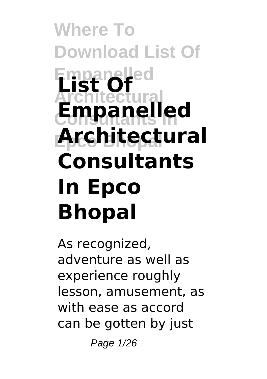# **Where To Download List Of Empanelled List Of Architectural Consultants In Empanelled Epco Bhopal Architectural Consultants In Epco Bhopal**

As recognized, adventure as well as experience roughly lesson, amusement, as with ease as accord can be gotten by just

Page 1/26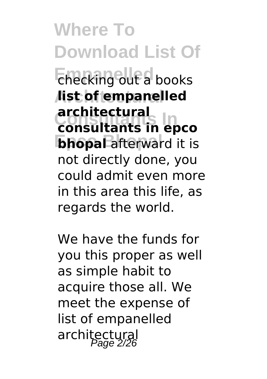**Where To Download List Of Empanelled** checking out a books **Architectural list of empanelled Consultants In consultants in epco bhopal** afterward it is **architectural** not directly done, you could admit even more in this area this life, as regards the world.

We have the funds for you this proper as well as simple habit to acquire those all. We meet the expense of list of empanelled architectural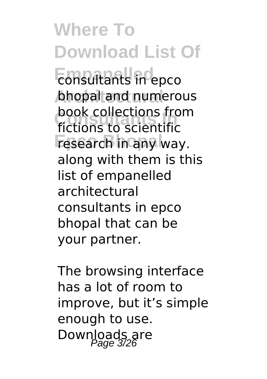**Where To Download List Of Emplitants** in epco **bhopal and numerous DOOK CONSULTER**<br>**fictions to scientific Fesearch** in any way. book collections from along with them is this list of empanelled architectural consultants in epco bhopal that can be your partner.

The browsing interface has a lot of room to improve, but it's simple enough to use. Downloads are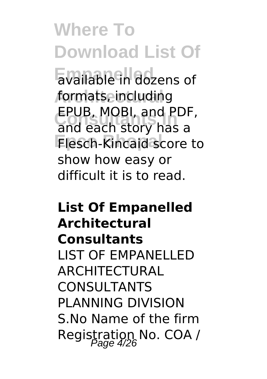**Where To Download List Of Empanelled** available in dozens of **Architectural** formats, including **CPUB, MUBI, and PUF**<br>and each story has a **Flesch-Kincaid score to** EPUB, MOBI, and PDF, show how easy or difficult it is to read.

### **List Of Empanelled Architectural Consultants** LIST OF EMPANELLED ARCHITECTURAL CONSULTANTS PLANNING DIVISION S.No Name of the firm Registration No. COA /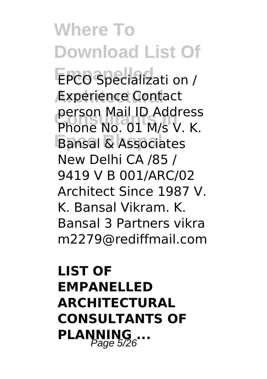**Where To Download List Of EPCO Specializati on / Experience Contact Consultants In** Phone No. 01 M/s V. K. **Bansal & Associates** person Mail ID Address New Delhi CA /85 / 9419 V B 001/ARC/02 Architect Since 1987 V. K. Bansal Vikram. K. Bansal 3 Partners vikra m2279@rediffmail.com

## **LIST OF EMPANELLED ARCHITECTURAL CONSULTANTS OF** PLANNING ...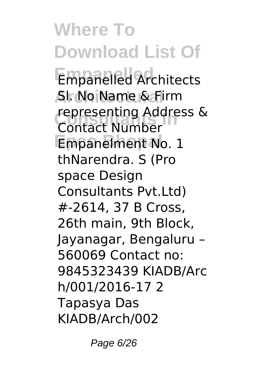**Where To Download List Of Empanelled** Empanelled Architects **Architectural** Sl. No Name & Firm **representing Address &**<br>Contact Number Empanelment No. 1 Contact Number thNarendra. S (Pro space Design Consultants Pvt.Ltd) #-2614, 37 B Cross, 26th main, 9th Block, Jayanagar, Bengaluru – 560069 Contact no: 9845323439 KIADB/Arc h/001/2016-17 2 Tapasya Das KIADB/Arch/002

Page 6/26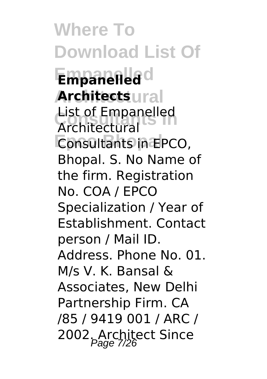**Where To Download List Of Empanelled Empanelled Architects**ural List of Empanelled<br>Architectural **Consultants in EPCO,** Architectural Bhopal. S. No Name of the firm. Registration No. COA / EPCO Specialization / Year of Establishment. Contact person / Mail ID. Address. Phone No. 01. M/s V. K. Bansal & Associates, New Delhi Partnership Firm. CA /85 / 9419 001 / ARC / 2002. Architect Since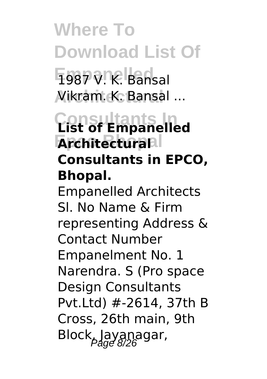**Where To Download List Of** 1987 V. K. Bansal **Architectural** Vikram. K. Bansal ...

## **Consultants In List of Empanelled Architecturall Consultants in EPCO, Bhopal.**

Empanelled Architects Sl. No Name & Firm representing Address & Contact Number Empanelment No. 1 Narendra. S (Pro space Design Consultants Pvt.Ltd) #-2614, 37th B Cross, 26th main, 9th  $Block_{\rho}$ Jayanagar,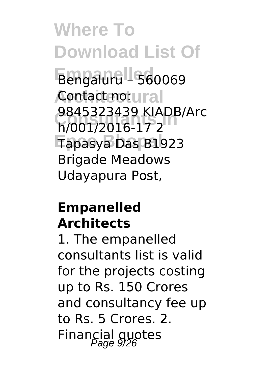**Where To Download List Of Empanelled** Bengaluru – 560069 **Architectural** Contact no: **Consultants In** h/001/2016-17 2 **Epco Bhopal** Tapasya Das B1923 9845323439 KIADB/Arc Brigade Meadows Udayapura Post,

#### **Empanelled Architects**

1. The empanelled consultants list is valid for the projects costing up to Rs. 150 Crores and consultancy fee up to Rs. 5 Crores. 2. Financial quotes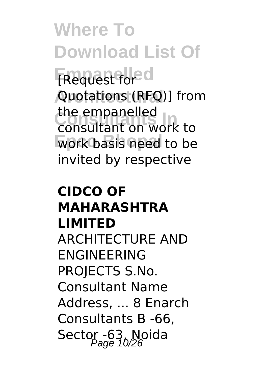**Where To Download List Of Empanelled** [Request for **Architectural** Quotations (RFQ)] from **Consultants In** consultant on work to work basis need to be the empanelled invited by respective

### **CIDCO OF MAHARASHTRA LIMITED** ARCHITECTURE AND ENGINEERING PROJECTS S.No. Consultant Name Address, ... 8 Enarch Consultants B -66, Sector -63, Noida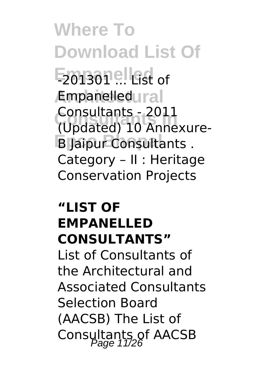**Where To Download List Of Empanelled** -201301 ... List of **Empanelledural Consultants In** (Updated) 10 Annexure-**B** Jaipur Consultants . Consultants - 2011 Category – II : Heritage Conservation Projects

#### **"LIST OF EMPANELLED CONSULTANTS"**

List of Consultants of the Architectural and Associated Consultants Selection Board (AACSB) The List of Consultants of AACSB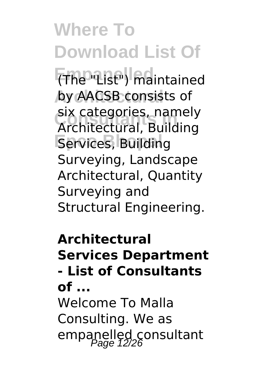**Where To Download List Of Empanelled** (The "List") maintained by AACSB consists of **Consultants In** Architectural, Building **Services, Building** six categories, namely Surveying, Landscape Architectural, Quantity Surveying and Structural Engineering.

**Architectural Services Department - List of Consultants of ...** Welcome To Malla Consulting. We as empanelled consultant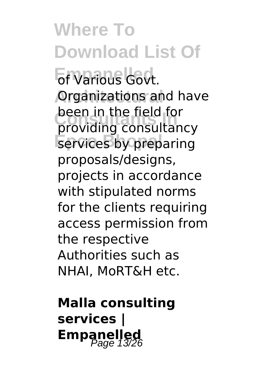# **Where To Download List Of**

**Empanelled** of Various Govt. **Organizations and have** peen in the neid for<br>providing consultancy services by preparing been in the field for proposals/designs, projects in accordance with stipulated norms for the clients requiring access permission from the respective Authorities such as NHAI, MoRT&H etc.

**Malla consulting services | Empanelled**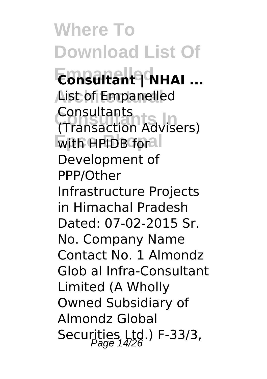**Where To Download List Of** E**onsultant | NHAI** ... **Aist of Empanelled Consultants In** (Transaction Advisers)  $\overline{\text{with}}$  **HPIDB foral** Consultants Development of PPP/Other Infrastructure Projects in Himachal Pradesh Dated: 07-02-2015 Sr. No. Company Name Contact No. 1 Almondz Glob al Infra-Consultant Limited (A Wholly Owned Subsidiary of Almondz Global Securities Ltd.) F-33/3,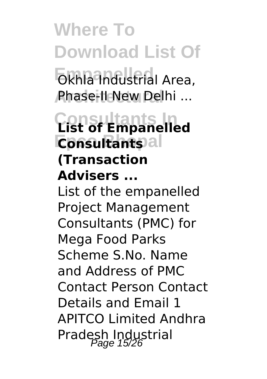**Where To Download List Of Exhla Industrial Area, Architectural** Phase-II New Delhi ...

**Consultants In List of Empanelled Consultants (Transaction Advisers ...** List of the empanelled Project Management Consultants (PMC) for Mega Food Parks

Scheme S.No. Name and Address of PMC Contact Person Contact Details and Email 1 APITCO Limited Andhra Pradesh Industrial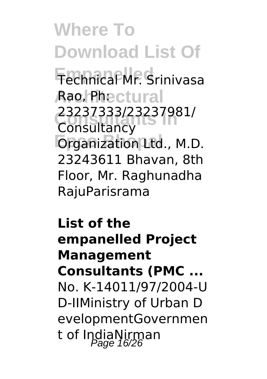**Where To Download List Of Empanelled** Technical Mr. Srinivasa **Aao, Phectural Consultants In** 23237333/23237981/ **Organization Ltd., M.D. Consultancy** 23243611 Bhavan, 8th Floor, Mr. Raghunadha RajuParisrama

**List of the empanelled Project Management Consultants (PMC ...** No. K-14011/97/2004-U D-IIMinistry of Urban D evelopmentGovernmen t of IndiaNirman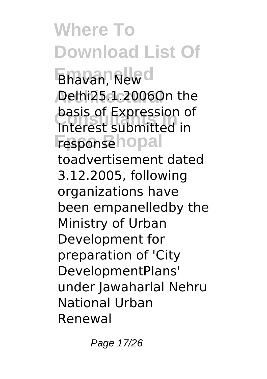**Where To Download List Of Ehavan, New d Architectural** Delhi25.1.2006On the **Consultants In** Interest submitted in **Fesponse**hopal basis of Expression of toadvertisement dated 3.12.2005, following organizations have been empanelledby the Ministry of Urban Development for preparation of 'City DevelopmentPlans' under Jawaharlal Nehru National Urban Renewal

Page 17/26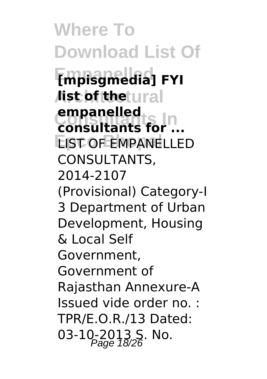**Where To Download List Of Empanelled [mpisgmedia] FYI** *l***ist of the tural** empanelied<br> **consultants** for ... **EIST OF EMPANELLED empanelled** CONSULTANTS, 2014-2107 (Provisional) Category-I 3 Department of Urban Development, Housing & Local Self Government, Government of Rajasthan Annexure-A Issued vide order no. : TPR/E.O.R./13 Dated: 03-10-2013 S. No.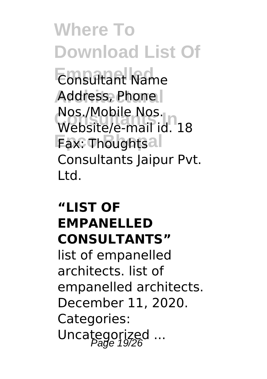**Where To Download List Of Empanelled** Consultant Name Address, Phone NOS./MODILE NOS.<br>Website/e-mail id. 18 **Fax: Thoughtsal** Nos./Mobile Nos. Consultants Jaipur Pvt. Ltd.

#### **"LIST OF EMPANELLED CONSULTANTS"**

list of empanelled architects. list of empanelled architects. December 11, 2020. Categories: Uncategorized ...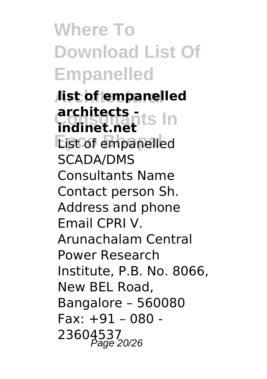**Where To Download List Of Empanelled**

**Architectural list of empanelled architects**<br>**Indicat rapits In Eist of empanelled indinet.net** SCADA/DMS Consultants Name Contact person Sh. Address and phone Email CPRI V. Arunachalam Central Power Research Institute, P.B. No. 8066, New BEL Road, Bangalore – 560080 Fax: +91 – 080 - 23604537<br>Page 20/26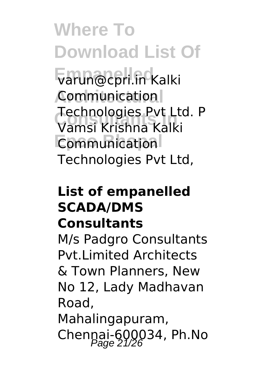**Where To Download List Of**

**Empanelled** varun@cpri.in Kalki **Architectural** Communication **Consultants In** Vamsi Krishna Kalki **Communication** Technologies Pvt Ltd. P Technologies Pvt Ltd,

#### **List of empanelled SCADA/DMS Consultants**

M/s Padgro Consultants Pvt.Limited Architects & Town Planners, New No 12, Lady Madhavan Road, Mahalingapuram, Chennai-600034, Ph.No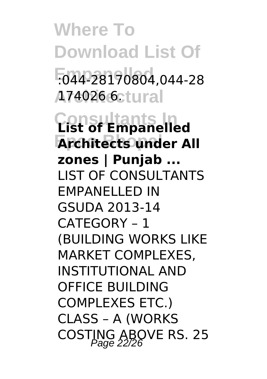**Where To Download List Of Empanelled** :044-28170804,044-28 **Architectural** 174026 6. **Consultants In List of Empanelled Architects under All zones | Punjab ...** LIST OF CONSULTANTS EMPANELLED IN GSUDA 2013-14 CATEGORY – 1 (BUILDING WORKS LIKE MARKET COMPLEXES, INSTITUTIONAL AND OFFICE BUILDING COMPLEXES ETC.) CLASS – A (WORKS COSTING ABOVE RS. 25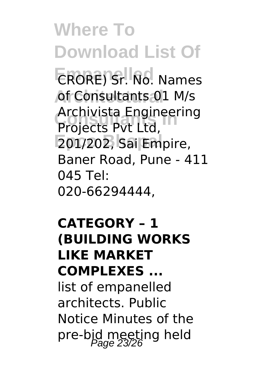**Where To Download List Of Empanelled** CRORE) Sr. No. Names of Consultants 01 M/s **Archivista Engineering**<br>**Projects Put Ltd 201/202, Sai Empire,** Projects Pvt Ltd, Baner Road, Pune - 411 045 Tel: 020-66294444.

**CATEGORY – 1 (BUILDING WORKS LIKE MARKET COMPLEXES ...** list of empanelled architects. Public Notice Minutes of the pre-bid meeting held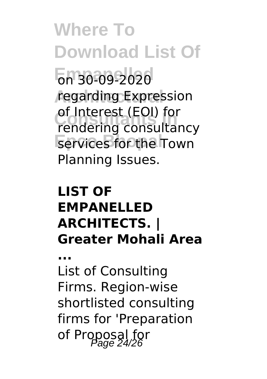**Where To Download List Of Empanelled** on 30-09-2020 regarding Expression or interest (EOI) for<br>
rendering consultancy **Eervices** for the Town of Interest (EOI) for Planning Issues.

#### **LIST OF EMPANELLED ARCHITECTS. | Greater Mohali Area**

**...** List of Consulting Firms. Region-wise shortlisted consulting firms for 'Preparation of Proposal for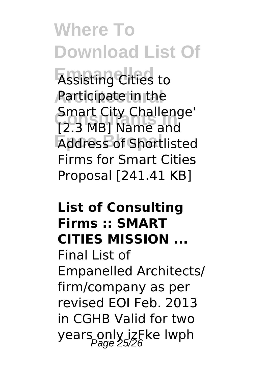**Where To Download List Of**

**Assisting Cities to Architectural** Participate in the **Consultants In** [2.3 MB] Name and **Address of Shortlisted** Smart City Challenge' Firms for Smart Cities Proposal [241.41 KB]

#### **List of Consulting Firms :: SMART CITIES MISSION ...**

Final List of Empanelled Architects/ firm/company as per revised EOI Feb. 2013 in CGHB Valid for two years only izFke lwph